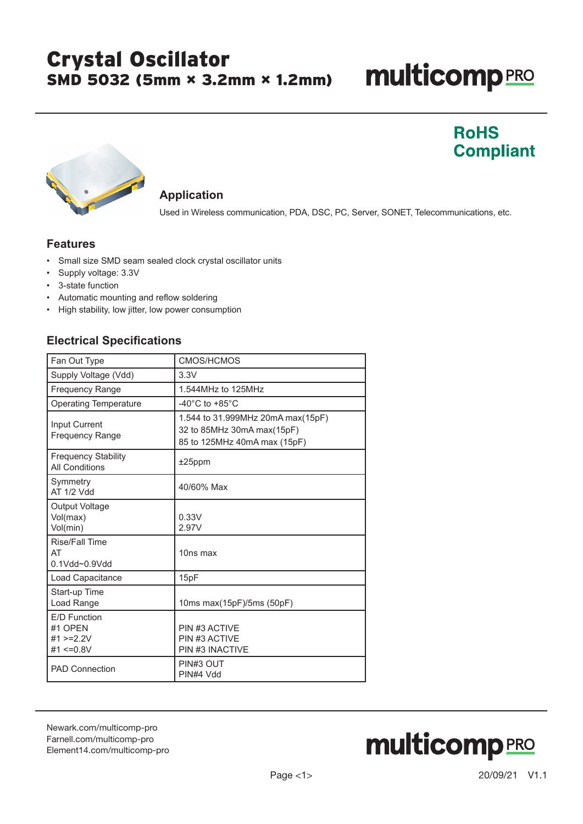## Crystal Oscillator SMD 5032 (5mm × 3.2mm × 1.2mm)

# **multicomp**PRO

### **RoHS Compliant**



#### **Application**

Used in Wireless communication, PDA, DSC, PC, Server, SONET, Telecommunications, etc.

### **Features**

- Small size SMD seam sealed clock crystal oscillator units
- Supply voltage: 3.3V
- 3-state function
- Automatic mounting and reflow soldering
- High stability, low jitter, low power consumption

### **Electrical Specifications**

| Fan Out Type                                              | <b>CMOS/HCMOS</b>                                                                               |
|-----------------------------------------------------------|-------------------------------------------------------------------------------------------------|
| Supply Voltage (Vdd)                                      | 3.3V                                                                                            |
| <b>Frequency Range</b>                                    | 1.544MHz to 125MHz                                                                              |
| <b>Operating Temperature</b>                              | -40 $^{\circ}$ C to +85 $^{\circ}$ C                                                            |
| Input Current<br><b>Frequency Range</b>                   | 1.544 to 31.999MHz 20mA max(15pF)<br>32 to 85MHz 30mA max(15pF)<br>85 to 125MHz 40mA max (15pF) |
| <b>Frequency Stability</b><br><b>All Conditions</b>       | $±25$ ppm                                                                                       |
| Symmetry<br><b>AT 1/2 Vdd</b>                             | 40/60% Max                                                                                      |
| Output Voltage<br>Vol(max)<br>Vol(min)                    | 0.33V<br>2.97V                                                                                  |
| <b>Rise/Fall Time</b><br>AT<br>0.1Vdd~0.9Vdd              | 10ns max                                                                                        |
| Load Capacitance                                          | 15pF                                                                                            |
| Start-up Time<br>Load Range                               | 10ms max(15pF)/5ms (50pF)                                                                       |
| E/D Function<br>#1 OPEN<br>#1 $>=$ 2.2V<br>#1 $\leq 0.8V$ | PIN #3 ACTIVE<br>PIN #3 ACTIVE<br><b>PIN #3 INACTIVE</b>                                        |
| <b>PAD Connection</b>                                     | PIN#3 OUT<br>PIN#4 Vdd                                                                          |

[Newark.com/multicomp-](https://www.newark.com/multicomp-pro)pro [Farnell.com/multicomp](https://www.farnell.com/multicomp-pro)-pro [Element14.com/multicomp-pro](https://element14.com/multicomp-pro)